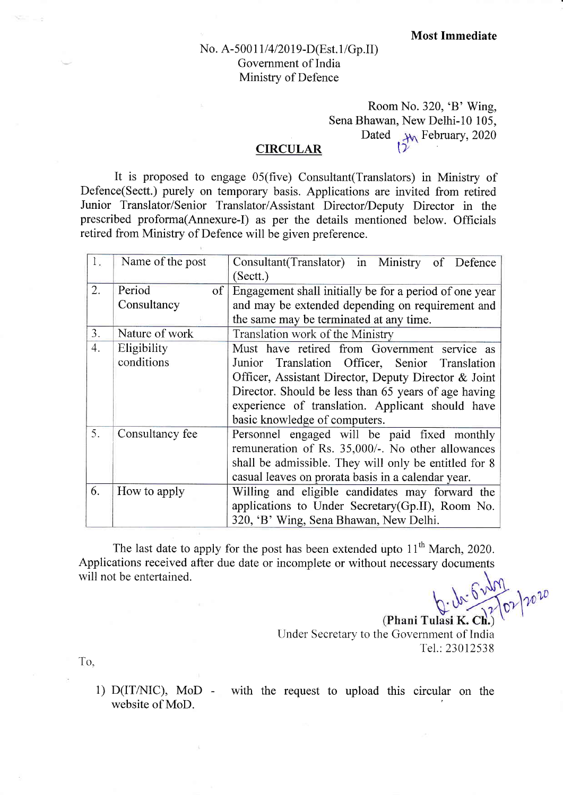## No. A-50011/4/2019-D(Est.1/Gp.II) Government of India Ministry of Defence

## Room No. 320, 'B' Wing, Sena Bhawan, New Delhi-l0 105, Dated  $\overline{v}$ February, 2020

## **CIRCULAR**

It is proposed to engage 05(five) Consultant(Translators) in Ministry of Defence(Sectt.) purely on temporary basis. Applications are invited from retired Junior Translator/Senior Translator/Assistant Director/Deputy Director in the prescribed proforma(Annexure-I) as per the details mentioned below. Officials retired from Ministry of Defence will be given preference.

| 1.                    | Name of the post                                                | Consultant (Translator) in Ministry of Defence<br>(Sectt.) |  |  |
|-----------------------|-----------------------------------------------------------------|------------------------------------------------------------|--|--|
| 2.                    | Period<br>of                                                    | Engagement shall initially be for a period of one year     |  |  |
|                       | Consultancy                                                     | and may be extended depending on requirement and           |  |  |
|                       |                                                                 | the same may be terminated at any time.                    |  |  |
| 3.                    | Nature of work                                                  | Translation work of the Ministry                           |  |  |
| 4.                    | Eligibility                                                     | Must have retired from Government service as               |  |  |
|                       | conditions                                                      | Junior Translation Officer, Senior Translation             |  |  |
|                       |                                                                 | Officer, Assistant Director, Deputy Director & Joint       |  |  |
|                       |                                                                 | Director. Should be less than 65 years of age having       |  |  |
|                       |                                                                 | experience of translation. Applicant should have           |  |  |
|                       |                                                                 | basic knowledge of computers.                              |  |  |
| 5.<br>Consultancy fee |                                                                 | Personnel engaged will be paid fixed monthly               |  |  |
|                       |                                                                 | remuneration of Rs. 35,000/-. No other allowances          |  |  |
|                       |                                                                 | shall be admissible. They will only be entitled for 8      |  |  |
|                       |                                                                 | casual leaves on prorata basis in a calendar year.         |  |  |
| 6.                    | How to apply<br>Willing and eligible candidates may forward the |                                                            |  |  |
|                       |                                                                 | applications to Under Secretary (Gp.II), Room No.          |  |  |
|                       |                                                                 | 320, 'B' Wing, Sena Bhawan, New Delhi.                     |  |  |

The last date to apply for the post has been extended upto  $11<sup>th</sup>$  March, 2020. Applications received after due date or incomplete or without necessary documents will not be entertained.

(Phani Tulasi K. Ch.) Under Secretary to the Government of India TeI.:23012538

To,

1)  $D(T/NIC)$ ,  $MoD$ website of MoD. with the request to upload this circular on the